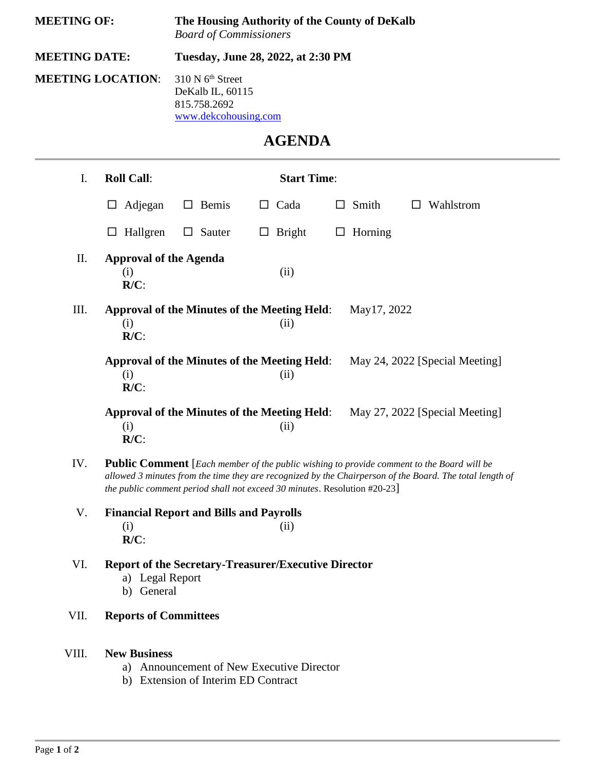| <b>MEETING OF:</b><br><b>MEETING DATE:</b><br><b>MEETING LOCATION:</b> |                                                                                                                                                                                                                                                                                    | The Housing Authority of the County of DeKalb<br><b>Board of Commissioners</b><br>Tuesday, June 28, 2022, at 2:30 PM<br>310 N 6 <sup>th</sup> Street<br>DeKalb IL, 60115<br>815.758.2692<br>www.dekcohousing.com |                                                             |                   |                                |    |                   |                    |               |  |  |
|------------------------------------------------------------------------|------------------------------------------------------------------------------------------------------------------------------------------------------------------------------------------------------------------------------------------------------------------------------------|------------------------------------------------------------------------------------------------------------------------------------------------------------------------------------------------------------------|-------------------------------------------------------------|-------------------|--------------------------------|----|-------------------|--------------------|---------------|--|--|
|                                                                        |                                                                                                                                                                                                                                                                                    |                                                                                                                                                                                                                  |                                                             |                   |                                |    |                   |                    | <b>AGENDA</b> |  |  |
|                                                                        |                                                                                                                                                                                                                                                                                    |                                                                                                                                                                                                                  |                                                             |                   |                                | I. | <b>Roll Call:</b> | <b>Start Time:</b> |               |  |  |
|                                                                        | Adjegan<br>□                                                                                                                                                                                                                                                                       | $\Box$ Bemis                                                                                                                                                                                                     | Cada<br>ப                                                   | $\Box$ Smith      | Wahlstrom<br>$\Box$            |    |                   |                    |               |  |  |
|                                                                        | Hallgren<br>□                                                                                                                                                                                                                                                                      | $\Box$ Sauter                                                                                                                                                                                                    | Bright<br>$\Box$                                            | Horning<br>$\Box$ |                                |    |                   |                    |               |  |  |
| II.                                                                    | <b>Approval of the Agenda</b><br>(i)<br>$R/C$ :                                                                                                                                                                                                                                    |                                                                                                                                                                                                                  | (ii)                                                        |                   |                                |    |                   |                    |               |  |  |
| III.                                                                   | (i)<br>$R/C$ :                                                                                                                                                                                                                                                                     |                                                                                                                                                                                                                  | <b>Approval of the Minutes of the Meeting Held:</b><br>(ii) | May 17, 2022      |                                |    |                   |                    |               |  |  |
|                                                                        | (i)<br>$R/C$ :                                                                                                                                                                                                                                                                     |                                                                                                                                                                                                                  | <b>Approval of the Minutes of the Meeting Held:</b><br>(ii) |                   | May 24, 2022 [Special Meeting] |    |                   |                    |               |  |  |
|                                                                        | (i)<br>$R/C$ :                                                                                                                                                                                                                                                                     |                                                                                                                                                                                                                  | <b>Approval of the Minutes of the Meeting Held:</b><br>(ii) |                   | May 27, 2022 [Special Meeting] |    |                   |                    |               |  |  |
| IV.                                                                    | Public Comment [Each member of the public wishing to provide comment to the Board will be<br>allowed 3 minutes from the time they are recognized by the Chairperson of the Board. The total length of<br>the public comment period shall not exceed 30 minutes. Resolution #20-23] |                                                                                                                                                                                                                  |                                                             |                   |                                |    |                   |                    |               |  |  |
| V.                                                                     | <b>Financial Report and Bills and Payrolls</b><br>(i)<br>(ii)<br>$R/C$ :                                                                                                                                                                                                           |                                                                                                                                                                                                                  |                                                             |                   |                                |    |                   |                    |               |  |  |
| VI.                                                                    | <b>Report of the Secretary-Treasurer/Executive Director</b>                                                                                                                                                                                                                        |                                                                                                                                                                                                                  |                                                             |                   |                                |    |                   |                    |               |  |  |

- a) Legal Report
- b) General
- VII. **Reports of Committees**
- VIII. **New Business**
	- a) Announcement of New Executive Director
	- b) Extension of Interim ED Contract